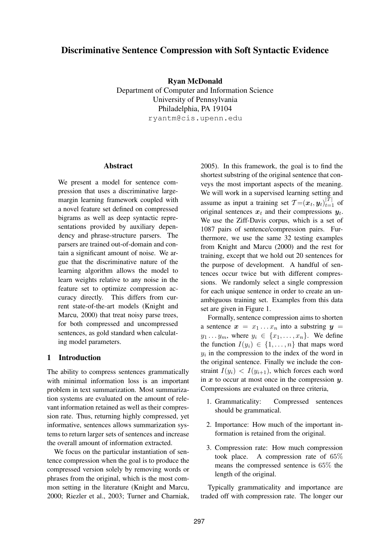# **Discriminative Sentence Compression with Soft Syntactic Evidence**

**Ryan McDonald**

Department of Computer and Information Science University of Pennsylvania Philadelphia, PA 19104 ryantm@cis.upenn.edu

### **Abstract**

We present a model for sentence compression that uses a discriminative largemargin learning framework coupled with a novel feature set defined on compressed bigrams as well as deep syntactic representations provided by auxiliary dependency and phrase-structure parsers. The parsers are trained out-of-domain and contain a significant amount of noise. We argue that the discriminative nature of the learning algorithm allows the model to learn weights relative to any noise in the feature set to optimize compression accuracy directly. This differs from current state-of-the-art models (Knight and Marcu, 2000) that treat noisy parse trees, for both compressed and uncompressed sentences, as gold standard when calculating model parameters.

## **1 Introduction**

The ability to compress sentences grammatically with minimal information loss is an important problem in text summarization. Most summarization systems are evaluated on the amount of relevant information retained as well as their compression rate. Thus, returning highly compressed, yet informative, sentences allows summarization systems to return larger sets of sentences and increase the overall amount of information extracted.

We focus on the particular instantiation of sentence compression when the goal is to produce the compressed version solely by removing words or phrases from the original, which is the most common setting in the literature (Knight and Marcu, 2000; Riezler et al., 2003; Turner and Charniak,

2005). In this framework, the goal is to find the shortest substring of the original sentence that conveys the most important aspects of the meaning. We will work in a supervised learning setting and assume as input a training set  $\mathcal{T} = (\boldsymbol{x}_t, \boldsymbol{y}_t)_{t=1}^{\mathcal{|T|}}$  of original sentences  $x_t$  and their compressions  $y_t$ . We use the Ziff-Davis corpus, which is a set of 1087 pairs of sentence/compression pairs. Furthermore, we use the same 32 testing examples from Knight and Marcu (2000) and the rest for training, except that we hold out 20 sentences for the purpose of development. A handful of sentences occur twice but with different compressions. We randomly select a single compression for each unique sentence in order to create an unambiguous training set. Examples from this data set are given in Figure 1.

Formally, sentence compression aims to shorten a sentence  $x = x_1 \ldots x_n$  into a substring  $y =$  $y_1 \ldots y_m$ , where  $y_i \in \{x_1, \ldots, x_n\}$ . We define the function  $I(y_i) \in \{1, \ldots, n\}$  that maps word  $y_i$  in the compression to the index of the word in the original sentence. Finally we include the constraint  $I(y_i) < I(y_{i+1})$ , which forces each word in  $x$  to occur at most once in the compression  $y$ . Compressions are evaluated on three criteria,

- 1. Grammaticality: Compressed sentences should be grammatical.
- 2. Importance: How much of the important information is retained from the original.
- 3. Compression rate: How much compression took place. A compression rate of 65% means the compressed sentence is 65% the length of the original.

Typically grammaticality and importance are traded off with compression rate. The longer our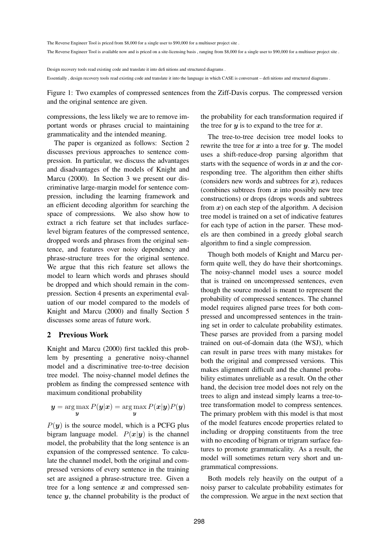The Reverse Engineer Tool is priced from \$8,000 for a single user to \$90,000 for a multiuser project site .

The Reverse Engineer Tool is available now and is priced on a site-licensing basis, ranging from \$8,000 for a single user to \$90,000 for a multiuser project site .

Design recovery tools read existing code and translate it into defi nitions and structured diagrams . Essentially , design recovery tools read existing code and translate it into the language in which CASE is conversant – defi nitions and structured diagrams .

Figure 1: Two examples of compressed sentences from the Ziff-Davis corpus. The compressed version and the original sentence are given.

compressions, the less likely we are to remove important words or phrases crucial to maintaining grammaticality and the intended meaning.

The paper is organized as follows: Section 2 discusses previous approaches to sentence compression. In particular, we discuss the advantages and disadvantages of the models of Knight and Marcu (2000). In Section 3 we present our discriminative large-margin model for sentence compression, including the learning framework and an efficient decoding algorithm for searching the space of compressions. We also show how to extract a rich feature set that includes surfacelevel bigram features of the compressed sentence, dropped words and phrases from the original sentence, and features over noisy dependency and phrase-structure trees for the original sentence. We argue that this rich feature set allows the model to learn which words and phrases should be dropped and which should remain in the compression. Section 4 presents an experimental evaluation of our model compared to the models of Knight and Marcu (2000) and finally Section 5 discusses some areas of future work.

### **2 Previous Work**

Knight and Marcu (2000) first tackled this problem by presenting a generative noisy-channel model and a discriminative tree-to-tree decision tree model. The noisy-channel model defines the problem as finding the compressed sentence with maximum conditional probability

$$
\mathbf{y} = \argmax_{\mathbf{y}} P(\mathbf{y}|\mathbf{x}) = \argmax_{\mathbf{y}} P(\mathbf{x}|\mathbf{y}) P(\mathbf{y})
$$

 $P(y)$  is the source model, which is a PCFG plus bigram language model.  $P(x|y)$  is the channel model, the probability that the long sentence is an expansion of the compressed sentence. To calculate the channel model, both the original and compressed versions of every sentence in the training set are assigned a phrase-structure tree. Given a tree for a long sentence  $x$  and compressed sentence  $y$ , the channel probability is the product of the probability for each transformation required if the tree for  $y$  is to expand to the tree for  $x$ .

The tree-to-tree decision tree model looks to rewrite the tree for  $x$  into a tree for  $y$ . The model uses a shift-reduce-drop parsing algorithm that starts with the sequence of words in  $x$  and the corresponding tree. The algorithm then either shifts (considers new words and subtrees for  $x$ ), reduces (combines subtrees from  $x$  into possibly new tree constructions) or drops (drops words and subtrees from  $x$ ) on each step of the algorithm. A decision tree model is trained on a set of indicative features for each type of action in the parser. These models are then combined in a greedy global search algorithm to find a single compression.

Though both models of Knight and Marcu perform quite well, they do have their shortcomings. The noisy-channel model uses a source model that is trained on uncompressed sentences, even though the source model is meant to represent the probability of compressed sentences. The channel model requires aligned parse trees for both compressed and uncompressed sentences in the training set in order to calculate probability estimates. These parses are provided from a parsing model trained on out-of-domain data (the WSJ), which can result in parse trees with many mistakes for both the original and compressed versions. This makes alignment difficult and the channel probability estimates unreliable as a result. On the other hand, the decision tree model does not rely on the trees to align and instead simply learns a tree-totree transformation model to compress sentences. The primary problem with this model is that most of the model features encode properties related to including or dropping constituents from the tree with no encoding of bigram or trigram surface features to promote grammaticality. As a result, the model will sometimes return very short and ungrammatical compressions.

Both models rely heavily on the output of a noisy parser to calculate probability estimates for the compression. We argue in the next section that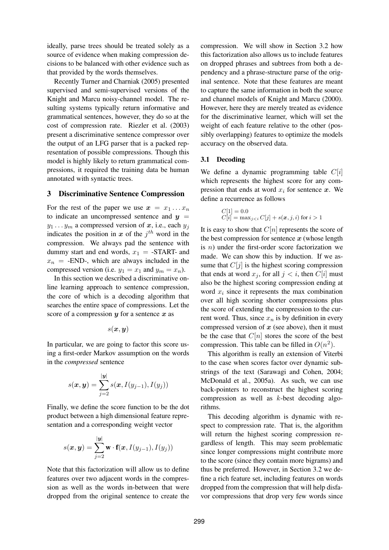ideally, parse trees should be treated solely as a source of evidence when making compression decisions to be balanced with other evidence such as that provided by the words themselves.

Recently Turner and Charniak (2005) presented supervised and semi-supervised versions of the Knight and Marcu noisy-channel model. The resulting systems typically return informative and grammatical sentences, however, they do so at the cost of compression rate. Riezler et al. (2003) present a discriminative sentence compressor over the output of an LFG parser that is a packed representation of possible compressions. Though this model is highly likely to return grammatical compressions, it required the training data be human annotated with syntactic trees.

#### **3 Discriminative Sentence Compression**

For the rest of the paper we use  $x = x_1 \dots x_n$ to indicate an uncompressed sentence and  $y =$  $y_1 \ldots y_m$  a compressed version of x, i.e., each  $y_j$ indicates the position in x of the  $j<sup>th</sup>$  word in the compression. We always pad the sentence with dummy start and end words,  $x_1 = -START$ - and  $x_n$  = -END-, which are always included in the compressed version (i.e.  $y_1 = x_1$  and  $y_m = x_n$ ).

In this section we described a discriminative online learning approach to sentence compression, the core of which is a decoding algorithm that searches the entire space of compressions. Let the score of a compression  $y$  for a sentence  $x$  as

$$
s(\bm{x},\bm{y})
$$

In particular, we are going to factor this score using a first-order Markov assumption on the words in the *compressed* sentence

$$
s(\boldsymbol{x},\boldsymbol{y})=\sum_{j=2}^{|\boldsymbol{y}|} s(\boldsymbol{x},I(y_{j-1}),I(y_j))
$$

Finally, we define the score function to be the dot product between a high dimensional feature representation and a corresponding weight vector

$$
s(\boldsymbol{x}, \boldsymbol{y}) = \sum_{j=2}^{|\boldsymbol{y}|} \mathbf{w} \cdot \mathbf{f}(\boldsymbol{x}, I(y_{j-1}), I(y_j))
$$

Note that this factorization will allow us to define features over two adjacent words in the compression as well as the words in-between that were dropped from the original sentence to create the compression. We will show in Section 3.2 how this factorization also allows us to include features on dropped phrases and subtrees from both a dependency and a phrase-structure parse of the original sentence. Note that these features are meant to capture the same information in both the source and channel models of Knight and Marcu (2000). However, here they are merely treated as evidence for the discriminative learner, which will set the weight of each feature relative to the other (possibly overlapping) features to optimize the models accuracy on the observed data.

## **3.1 Decoding**

We define a dynamic programming table  $C[i]$ which represents the highest score for any compression that ends at word  $x_i$  for sentence x. We define a recurrence as follows

$$
C[1] = 0.0
$$
  

$$
C[i] = \max_{j < i} C[j] + s(\mathbf{x}, j, i) \text{ for } i > 1
$$

It is easy to show that  $C[n]$  represents the score of the best compression for sentence  $x$  (whose length is  $n$ ) under the first-order score factorization we made. We can show this by induction. If we assume that  $C[j]$  is the highest scoring compression that ends at word  $x_j$ , for all  $j < i$ , then  $C[i]$  must also be the highest scoring compression ending at word  $x_i$  since it represents the max combination over all high scoring shorter compressions plus the score of extending the compression to the current word. Thus, since  $x_n$  is by definition in every compressed version of  $x$  (see above), then it must be the case that  $C[n]$  stores the score of the best compression. This table can be filled in  $O(n^2)$ .

This algorithm is really an extension of Viterbi to the case when scores factor over dynamic substrings of the text (Sarawagi and Cohen, 2004; McDonald et al., 2005a). As such, we can use back-pointers to reconstruct the highest scoring compression as well as k-best decoding algorithms.

This decoding algorithm is dynamic with respect to compression rate. That is, the algorithm will return the highest scoring compression regardless of length. This may seem problematic since longer compressions might contribute more to the score (since they contain more bigrams) and thus be preferred. However, in Section 3.2 we define a rich feature set, including features on words dropped from the compression that will help disfavor compressions that drop very few words since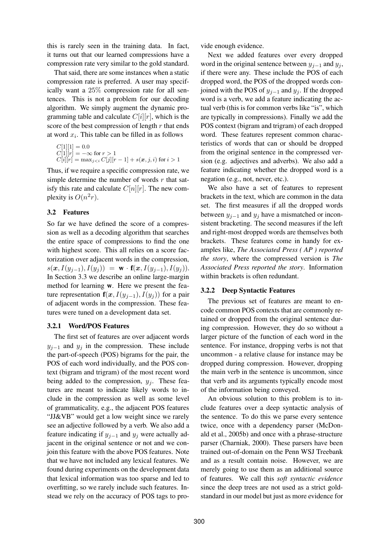this is rarely seen in the training data. In fact, it turns out that our learned compressions have a compression rate very similar to the gold standard.

That said, there are some instances when a static compression rate is preferred. A user may specifically want a 25% compression rate for all sentences. This is not a problem for our decoding algorithm. We simply augment the dynamic programming table and calculate  $C[i][r]$ , which is the score of the best compression of length  $r$  that ends at word  $x_i$ . This table can be filled in as follows

$$
C[1][1] = 0.0
$$
  
\n
$$
C[1][r] = -\infty \text{ for } r > 1
$$
  
\n
$$
C[i][r] = \max_{j < i} C[j][r-1] + s(x, j, i) \text{ for } i > 1
$$

Thus, if we require a specific compression rate, we simple determine the number of words  $r$  that satisfy this rate and calculate  $C[n][r]$ . The new complexity is  $O(n^2r)$ .

## **3.2 Features**

So far we have defined the score of a compression as well as a decoding algorithm that searches the entire space of compressions to find the one with highest score. This all relies on a score factorization over adjacent words in the compression,  $s(x, I(y_{j-1}), I(y_j)) = \mathbf{w} \cdot \mathbf{f}(x, I(y_{j-1}), I(y_j)).$ In Section 3.3 we describe an online large-margin method for learning **w**. Here we present the feature representation  $f(x, I(y_{j-1}), I(y_j))$  for a pair of adjacent words in the compression. These features were tuned on a development data set.

### **3.2.1 Word/POS Features**

The first set of features are over adjacent words  $y_{i-1}$  and  $y_i$  in the compression. These include the part-of-speech (POS) bigrams for the pair, the POS of each word individually, and the POS context (bigram and trigram) of the most recent word being added to the compression,  $y_j$ . These features are meant to indicate likely words to include in the compression as well as some level of grammaticality, e.g., the adjacent POS features "JJ&VB" would get a low weight since we rarely see an adjective followed by a verb. We also add a feature indicating if  $y_{j-1}$  and  $y_j$  were actually adjacent in the original sentence or not and we conjoin this feature with the above POS features. Note that we have not included any lexical features. We found during experiments on the development data that lexical information was too sparse and led to overfitting, so we rarely include such features. Instead we rely on the accuracy of POS tags to provide enough evidence.

Next we added features over every dropped word in the original sentence between  $y_{j-1}$  and  $y_j$ , if there were any. These include the POS of each dropped word, the POS of the dropped words conjoined with the POS of  $y_{i-1}$  and  $y_i$ . If the dropped word is a verb, we add a feature indicating the actual verb (this is for common verbs like "is", which are typically in compressions). Finally we add the POS context (bigram and trigram) of each dropped word. These features represent common characteristics of words that can or should be dropped from the original sentence in the compressed version (e.g. adjectives and adverbs). We also add a feature indicating whether the dropped word is a negation (e.g., not, never, etc.).

We also have a set of features to represent brackets in the text, which are common in the data set. The first measures if all the dropped words between  $y_{j-1}$  and  $y_j$  have a mismatched or inconsistent bracketing. The second measures if the left and right-most dropped words are themselves both brackets. These features come in handy for examples like, *The Associated Press ( AP ) reported the story*, where the compressed version is *The Associated Press reported the story*. Information within brackets is often redundant.

## **3.2.2 Deep Syntactic Features**

The previous set of features are meant to encode common POS contexts that are commonly retained or dropped from the original sentence during compression. However, they do so without a larger picture of the function of each word in the sentence. For instance, dropping verbs is not that uncommon - a relative clause for instance may be dropped during compression. However, dropping the main verb in the sentence is uncommon, since that verb and its arguments typically encode most of the information being conveyed.

An obvious solution to this problem is to include features over a deep syntactic analysis of the sentence. To do this we parse every sentence twice, once with a dependency parser (McDonald et al., 2005b) and once with a phrase-structure parser (Charniak, 2000). These parsers have been trained out-of-domain on the Penn WSJ Treebank and as a result contain noise. However, we are merely going to use them as an additional source of features. We call this *soft syntactic evidence* since the deep trees are not used as a strict goldstandard in our model but just as more evidence for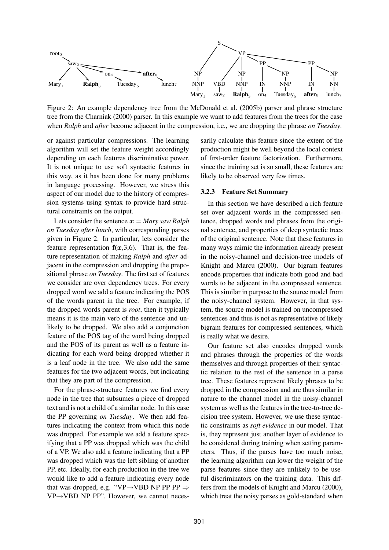

Figure 2: An example dependency tree from the McDonald et al. (2005b) parser and phrase structure tree from the Charniak (2000) parser. In this example we want to add features from the trees for the case when *Ralph* and *after* become adjacent in the compression, i.e., we are dropping the phrase *on Tuesday*.

or against particular compressions. The learning algorithm will set the feature weight accordingly depending on each features discriminative power. It is not unique to use soft syntactic features in this way, as it has been done for many problems in language processing. However, we stress this aspect of our model due to the history of compression systems using syntax to provide hard structural constraints on the output.

Lets consider the sentence  $x = Mary saw Ralph$ *on Tuesday after lunch*, with corresponding parses given in Figure 2. In particular, lets consider the feature representation  $f(x,3,6)$ . That is, the feature representation of making *Ralph* and *after* adjacent in the compression and dropping the prepositional phrase *on Tuesday*. The first set of features we consider are over dependency trees. For every dropped word we add a feature indicating the POS of the words parent in the tree. For example, if the dropped words parent is *root*, then it typically means it is the main verb of the sentence and unlikely to be dropped. We also add a conjunction feature of the POS tag of the word being dropped and the POS of its parent as well as a feature indicating for each word being dropped whether it is a leaf node in the tree. We also add the same features for the two adjacent words, but indicating that they are part of the compression.

For the phrase-structure features we find every node in the tree that subsumes a piece of dropped text and is not a child of a similar node. In this case the PP governing *on Tuesday*. We then add features indicating the context from which this node was dropped. For example we add a feature specifying that a PP was dropped which was the child of a VP. We also add a feature indicating that a PP was dropped which was the left sibling of another PP, etc. Ideally, for each production in the tree we would like to add a feature indicating every node that was dropped, e.g. "VP $\rightarrow$ VBD NP PP PP  $\Rightarrow$ VP→VBD NP PP". However, we cannot necessarily calculate this feature since the extent of the production might be well beyond the local context of first-order feature factorization. Furthermore, since the training set is so small, these features are likely to be observed very few times.

#### **3.2.3 Feature Set Summary**

In this section we have described a rich feature set over adjacent words in the compressed sentence, dropped words and phrases from the original sentence, and properties of deep syntactic trees of the original sentence. Note that these features in many ways mimic the information already present in the noisy-channel and decision-tree models of Knight and Marcu (2000). Our bigram features encode properties that indicate both good and bad words to be adjacent in the compressed sentence. This is similar in purpose to the source model from the noisy-channel system. However, in that system, the source model is trained on uncompressed sentences and thus is not as representative of likely bigram features for compressed sentences, which is really what we desire.

Our feature set also encodes dropped words and phrases through the properties of the words themselves and through properties of their syntactic relation to the rest of the sentence in a parse tree. These features represent likely phrases to be dropped in the compression and are thus similar in nature to the channel model in the noisy-channel system as well as the features in the tree-to-tree decision tree system. However, we use these syntactic constraints as *soft evidence* in our model. That is, they represent just another layer of evidence to be considered during training when setting parameters. Thus, if the parses have too much noise, the learning algorithm can lower the weight of the parse features since they are unlikely to be useful discriminators on the training data. This differs from the models of Knight and Marcu (2000), which treat the noisy parses as gold-standard when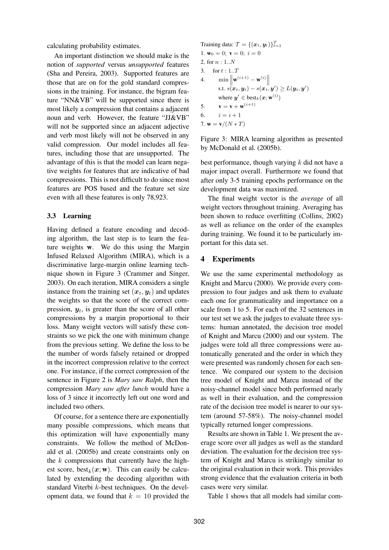calculating probability estimates.

An important distinction we should make is the notion of *supported* versus *unsupported* features (Sha and Pereira, 2003). Supported features are those that are on for the gold standard compressions in the training. For instance, the bigram feature "NN&VB" will be supported since there is most likely a compression that contains a adjacent noun and verb. However, the feature "JJ&VB" will not be supported since an adjacent adjective and verb most likely will not be observed in any valid compression. Our model includes all features, including those that are unsupported. The advantage of this is that the model can learn negative weights for features that are indicative of bad compressions. This is not difficult to do since most features are POS based and the feature set size even with all these features is only 78,923.

### **3.3 Learning**

Having defined a feature encoding and decoding algorithm, the last step is to learn the feature weights **w**. We do this using the Margin Infused Relaxed Algorithm (MIRA), which is a discriminative large-margin online learning technique shown in Figure 3 (Crammer and Singer, 2003). On each iteration, MIRA considers a single instance from the training set  $(x_t, y_t)$  and updates the weights so that the score of the correct compression,  $y_t$ , is greater than the score of all other compressions by a margin proportional to their loss. Many weight vectors will satisfy these constraints so we pick the one with minimum change from the previous setting. We define the loss to be the number of words falsely retained or dropped in the incorrect compression relative to the correct one. For instance, if the correct compression of the sentence in Figure 2 is *Mary saw Ralph*, then the compression *Mary saw after lunch* would have a loss of 3 since it incorrectly left out one word and included two others.

Of course, for a sentence there are exponentially many possible compressions, which means that this optimization will have exponentially many constraints. We follow the method of McDonald et al. (2005b) and create constraints only on the  $k$  compressions that currently have the highest score, best<sub>k</sub> $(x; w)$ . This can easily be calculated by extending the decoding algorithm with standard Viterbi k-best techniques. On the development data, we found that  $k = 10$  provided the

Training data: 
$$
\mathcal{T} = \{ (x_t, y_t) \}_{t=1}^T
$$
  
\n1.  $\mathbf{w}_0 = 0; \ \mathbf{v} = 0; \ i = 0$   
\n2. for  $n : 1..N$   
\n3. for  $t : 1..T$   
\n4.  $\min \left\| \mathbf{w}^{(i+1)} - \mathbf{w}^{(i)} \right\|$   
\n $\text{s.t. } s(x_t, y_t) - s(x_t, y') \ge L(y_t, y')$   
\nwhere  $y' \in \text{best}_k(x; \mathbf{w}^{(i)})$   
\n5.  $\mathbf{v} = \mathbf{v} + \mathbf{w}^{(i+1)}$   
\n6.  $i = i + 1$   
\n7.  $\mathbf{w} = \mathbf{v}/(N * T)$ 

Figure 3: MIRA learning algorithm as presented by McDonald et al. (2005b).

best performance, though varying  $k$  did not have a major impact overall. Furthermore we found that after only 3-5 training epochs performance on the development data was maximized.

The final weight vector is the *average* of all weight vectors throughout training. Averaging has been shown to reduce overfitting (Collins, 2002) as well as reliance on the order of the examples during training. We found it to be particularly important for this data set.

## **4 Experiments**

We use the same experimental methodology as Knight and Marcu (2000). We provide every compression to four judges and ask them to evaluate each one for grammaticality and importance on a scale from 1 to 5. For each of the 32 sentences in our test set we ask the judges to evaluate three systems: human annotated, the decision tree model of Knight and Marcu (2000) and our system. The judges were told all three compressions were automatically generated and the order in which they were presented was randomly chosen for each sentence. We compared our system to the decision tree model of Knight and Marcu instead of the noisy-channel model since both performed nearly as well in their evaluation, and the compression rate of the decision tree model is nearer to our system (around 57-58%). The noisy-channel model typically returned longer compressions.

Results are shown in Table 1. We present the average score over all judges as well as the standard deviation. The evaluation for the decision tree system of Knight and Marcu is strikingly similar to the original evaluation in their work. This provides strong evidence that the evaluation criteria in both cases were very similar.

Table 1 shows that all models had similar com-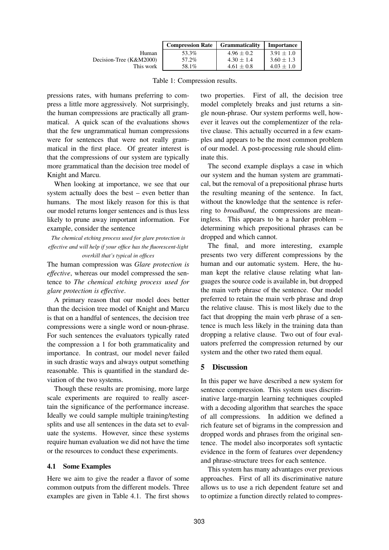|                         | <b>Compression Rate</b> | <b>Grammaticality</b> | Importance     |
|-------------------------|-------------------------|-----------------------|----------------|
| Human                   | 53.3%                   | $4.96 \pm 0.2$        | $3.91 \pm 1.0$ |
| Decision-Tree (K&M2000) | 57.2%                   | $4.30 + 1.4$          | $3.60 + 1.3$   |
| This work               | 58.1%                   | $4.61 \pm 0.8$        | $4.03 \pm 1.0$ |

Table 1: Compression results.

pressions rates, with humans preferring to compress a little more aggressively. Not surprisingly, the human compressions are practically all grammatical. A quick scan of the evaluations shows that the few ungrammatical human compressions were for sentences that were not really grammatical in the first place. Of greater interest is that the compressions of our system are typically more grammatical than the decision tree model of Knight and Marcu.

When looking at importance, we see that our system actually does the best – even better than humans. The most likely reason for this is that our model returns longer sentences and is thus less likely to prune away important information. For example, consider the sentence

*The chemical etching process used for glare protection is effective and will help if your office has the fluorescent-light overkill that's typical in offices*

The human compression was *Glare protection is effective*, whereas our model compressed the sentence to *The chemical etching process used for glare protection is effective*.

A primary reason that our model does better than the decision tree model of Knight and Marcu is that on a handful of sentences, the decision tree compressions were a single word or noun-phrase. For such sentences the evaluators typically rated the compression a 1 for both grammaticality and importance. In contrast, our model never failed in such drastic ways and always output something reasonable. This is quantified in the standard deviation of the two systems.

Though these results are promising, more large scale experiments are required to really ascertain the significance of the performance increase. Ideally we could sample multiple training/testing splits and use all sentences in the data set to evaluate the systems. However, since these systems require human evaluation we did not have the time or the resources to conduct these experiments.

## **4.1 Some Examples**

Here we aim to give the reader a flavor of some common outputs from the different models. Three examples are given in Table 4.1. The first shows two properties. First of all, the decision tree model completely breaks and just returns a single noun-phrase. Our system performs well, however it leaves out the complementizer of the relative clause. This actually occurred in a few examples and appears to be the most common problem of our model. A post-processing rule should eliminate this.

The second example displays a case in which our system and the human system are grammatical, but the removal of a prepositional phrase hurts the resulting meaning of the sentence. In fact, without the knowledge that the sentence is referring to *broadband*, the compressions are meaningless. This appears to be a harder problem – determining which prepositional phrases can be dropped and which cannot.

The final, and more interesting, example presents two very different compressions by the human and our automatic system. Here, the human kept the relative clause relating what languages the source code is available in, but dropped the main verb phrase of the sentence. Our model preferred to retain the main verb phrase and drop the relative clause. This is most likely due to the fact that dropping the main verb phrase of a sentence is much less likely in the training data than dropping a relative clause. Two out of four evaluators preferred the compression returned by our system and the other two rated them equal.

# **5 Discussion**

In this paper we have described a new system for sentence compression. This system uses discriminative large-margin learning techniques coupled with a decoding algorithm that searches the space of all compressions. In addition we defined a rich feature set of bigrams in the compression and dropped words and phrases from the original sentence. The model also incorporates soft syntactic evidence in the form of features over dependency and phrase-structure trees for each sentence.

This system has many advantages over previous approaches. First of all its discriminative nature allows us to use a rich dependent feature set and to optimize a function directly related to compres-